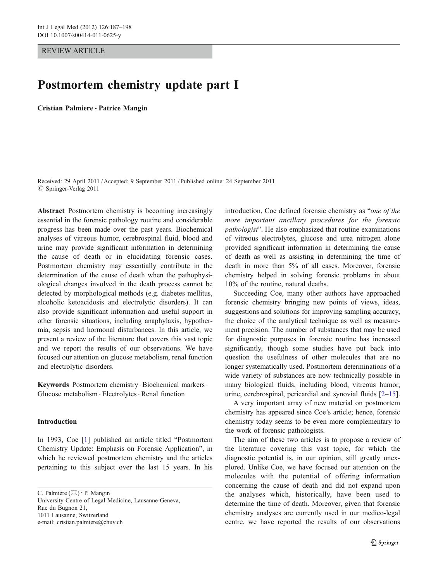REVIEW ARTICLE

# Postmortem chemistry update part I

Cristian Palmiere · Patrice Mangin

Received: 29 April 2011 /Accepted: 9 September 2011 / Published online: 24 September 2011  $©$  Springer-Verlag 2011

Abstract Postmortem chemistry is becoming increasingly essential in the forensic pathology routine and considerable progress has been made over the past years. Biochemical analyses of vitreous humor, cerebrospinal fluid, blood and urine may provide significant information in determining the cause of death or in elucidating forensic cases. Postmortem chemistry may essentially contribute in the determination of the cause of death when the pathophysiological changes involved in the death process cannot be detected by morphological methods (e.g. diabetes mellitus, alcoholic ketoacidosis and electrolytic disorders). It can also provide significant information and useful support in other forensic situations, including anaphylaxis, hypothermia, sepsis and hormonal disturbances. In this article, we present a review of the literature that covers this vast topic and we report the results of our observations. We have focused our attention on glucose metabolism, renal function and electrolytic disorders.

Keywords Postmortem chemistry. Biochemical markers. Glucose metabolism · Electrolytes · Renal function

## Introduction

In 1993, Coe [\[1](#page-8-0)] published an article titled "Postmortem Chemistry Update: Emphasis on Forensic Application", in which he reviewed postmortem chemistry and the articles pertaining to this subject over the last 15 years. In his

C. Palmiere  $(\boxtimes) \cdot$  P. Mangin University Centre of Legal Medicine, Lausanne-Geneva, Rue du Bugnon 21, 1011 Lausanne, Switzerland e-mail: cristian.palmiere@chuv.ch

introduction, Coe defined forensic chemistry as "one of the more important ancillary procedures for the forensic pathologist". He also emphasized that routine examinations of vitreous electrolytes, glucose and urea nitrogen alone provided significant information in determining the cause of death as well as assisting in determining the time of death in more than 5% of all cases. Moreover, forensic chemistry helped in solving forensic problems in about 10% of the routine, natural deaths.

Succeeding Coe, many other authors have approached forensic chemistry bringing new points of views, ideas, suggestions and solutions for improving sampling accuracy, the choice of the analytical technique as well as measurement precision. The number of substances that may be used for diagnostic purposes in forensic routine has increased significantly, though some studies have put back into question the usefulness of other molecules that are no longer systematically used. Postmortem determinations of a wide variety of substances are now technically possible in many biological fluids, including blood, vitreous humor, urine, cerebrospinal, pericardial and synovial fluids [[2](#page-8-0)–[15\]](#page-9-0).

A very important array of new material on postmortem chemistry has appeared since Coe's article; hence, forensic chemistry today seems to be even more complementary to the work of forensic pathologists.

The aim of these two articles is to propose a review of the literature covering this vast topic, for which the diagnostic potential is, in our opinion, still greatly unexplored. Unlike Coe, we have focused our attention on the molecules with the potential of offering information concerning the cause of death and did not expand upon the analyses which, historically, have been used to determine the time of death. Moreover, given that forensic chemistry analyses are currently used in our medico-legal centre, we have reported the results of our observations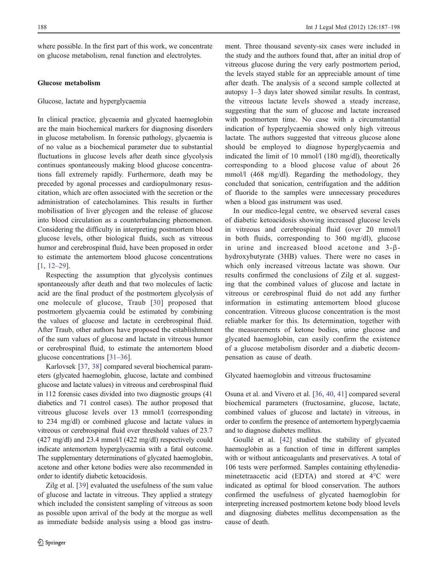where possible. In the first part of this work, we concentrate on glucose metabolism, renal function and electrolytes.

### Glucose metabolism

### Glucose, lactate and hyperglycaemia

In clinical practice, glycaemia and glycated haemoglobin are the main biochemical markers for diagnosing disorders in glucose metabolism. In forensic pathology, glycaemia is of no value as a biochemical parameter due to substantial fluctuations in glucose levels after death since glycolysis continues spontaneously making blood glucose concentrations fall extremely rapidly. Furthermore, death may be preceded by agonal processes and cardiopulmonary resuscitation, which are often associated with the secretion or the administration of catecholamines. This results in further mobilisation of liver glycogen and the release of glucose into blood circulation as a counterbalancing phenomenon. Considering the difficulty in interpreting postmortem blood glucose levels, other biological fluids, such as vitreous humor and cerebrospinal fluid, have been proposed in order to estimate the antemortem blood glucose concentrations [\[1](#page-8-0), [12](#page-9-0)–[29\]](#page-9-0).

Respecting the assumption that glycolysis continues spontaneously after death and that two molecules of lactic acid are the final product of the postmortem glycolysis of one molecule of glucose, Traub [\[30\]](#page-9-0) proposed that postmortem glycaemia could be estimated by combining the values of glucose and lactate in cerebrospinal fluid. After Traub, other authors have proposed the establishment of the sum values of glucose and lactate in vitreous humor or cerebrospinal fluid, to estimate the antemortem blood glucose concentrations [[31](#page-9-0)–[36\]](#page-9-0).

Karlovsek [\[37](#page-9-0), [38](#page-9-0)] compared several biochemical parameters (glycated haemoglobin, glucose, lactate and combined glucose and lactate values) in vitreous and cerebrospinal fluid in 112 forensic cases divided into two diagnostic groups (41 diabetics and 71 control cases). The author proposed that vitreous glucose levels over 13 mmol/l (corresponding to 234 mg/dl) or combined glucose and lactate values in vitreous or cerebrospinal fluid over threshold values of 23.7 (427 mg/dl) and 23.4 mmol/l (422 mg/dl) respectively could indicate antemortem hyperglycaemia with a fatal outcome. The supplementary determinations of glycated haemoglobin, acetone and other ketone bodies were also recommended in order to identify diabetic ketoacidosis.

Zilg et al. [\[39](#page-9-0)] evaluated the usefulness of the sum value of glucose and lactate in vitreous. They applied a strategy which included the consistent sampling of vitreous as soon as possible upon arrival of the body at the morgue as well as immediate bedside analysis using a blood gas instru-

ment. Three thousand seventy-six cases were included in the study and the authors found that, after an initial drop of vitreous glucose during the very early postmortem period, the levels stayed stable for an appreciable amount of time after death. The analysis of a second sample collected at autopsy 1–3 days later showed similar results. In contrast, the vitreous lactate levels showed a steady increase, suggesting that the sum of glucose and lactate increased with postmortem time. No case with a circumstantial indication of hyperglycaemia showed only high vitreous lactate. The authors suggested that vitreous glucose alone should be employed to diagnose hyperglycaemia and indicated the limit of 10 mmol/l (180 mg/dl), theoretically corresponding to a blood glucose value of about 26 mmol/l (468 mg/dl). Regarding the methodology, they concluded that sonication, centrifugation and the addition of fluoride to the samples were unnecessary procedures when a blood gas instrument was used.

In our medico-legal centre, we observed several cases of diabetic ketoacidosis showing increased glucose levels in vitreous and cerebrospinal fluid (over 20 mmol/l in both fluids, corresponding to 360 mg/dl), glucose in urine and increased blood acetone and 3-βhydroxybutyrate (3HB) values. There were no cases in which only increased vitreous lactate was shown. Our results confirmed the conclusions of Zilg et al. suggesting that the combined values of glucose and lactate in vitreous or cerebrospinal fluid do not add any further information in estimating antemortem blood glucose concentration. Vitreous glucose concentration is the most reliable marker for this. Its determination, together with the measurements of ketone bodies, urine glucose and glycated haemoglobin, can easily confirm the existence of a glucose metabolism disorder and a diabetic decompensation as cause of death.

Glycated haemoglobin and vitreous fructosamine

Osuna et al. and Vivero et al. [\[36](#page-9-0), [40,](#page-9-0) [41\]](#page-9-0) compared several biochemical parameters (fructosamine, glucose, lactate, combined values of glucose and lactate) in vitreous, in order to confirm the presence of antemortem hyperglycaemia and to diagnose diabetes mellitus.

Goullé et al. [[42\]](#page-9-0) studied the stability of glycated haemoglobin as a function of time in different samples with or without anticoagulants and preservatives. A total of 106 tests were performed. Samples containing ethylenediaminetetraacetic acid (EDTA) and stored at 4°C were indicated as optimal for blood conservation. The authors confirmed the usefulness of glycated haemoglobin for interpreting increased postmortem ketone body blood levels and diagnosing diabetes mellitus decompensation as the cause of death.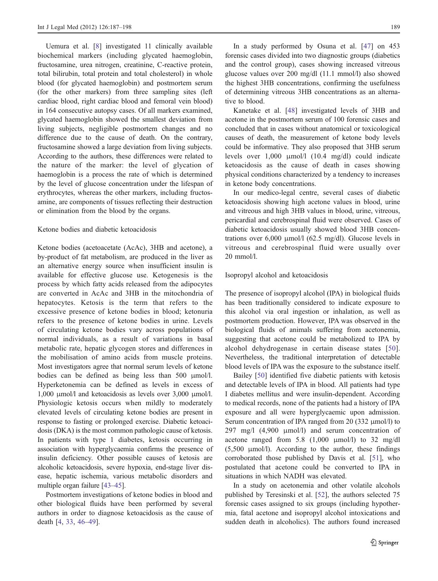Uemura et al. [\[8](#page-9-0)] investigated 11 clinically available biochemical markers (including glycated haemoglobin, fructosamine, urea nitrogen, creatinine, C-reactive protein, total bilirubin, total protein and total cholesterol) in whole blood (for glycated haemoglobin) and postmortem serum (for the other markers) from three sampling sites (left cardiac blood, right cardiac blood and femoral vein blood) in 164 consecutive autopsy cases. Of all markers examined, glycated haemoglobin showed the smallest deviation from living subjects, negligible postmortem changes and no difference due to the cause of death. On the contrary, fructosamine showed a large deviation from living subjects. According to the authors, these differences were related to the nature of the marker: the level of glycation of haemoglobin is a process the rate of which is determined by the level of glucose concentration under the lifespan of erythrocytes, whereas the other markers, including fructosamine, are components of tissues reflecting their destruction or elimination from the blood by the organs.

#### Ketone bodies and diabetic ketoacidosis

Ketone bodies (acetoacetate (AcAc), 3HB and acetone), a by-product of fat metabolism, are produced in the liver as an alternative energy source when insufficient insulin is available for effective glucose use. Ketogenesis is the process by which fatty acids released from the adipocytes are converted in AcAc and 3HB in the mitochondria of hepatocytes. Ketosis is the term that refers to the excessive presence of ketone bodies in blood; ketonuria refers to the presence of ketone bodies in urine. Levels of circulating ketone bodies vary across populations of normal individuals, as a result of variations in basal metabolic rate, hepatic glycogen stores and differences in the mobilisation of amino acids from muscle proteins. Most investigators agree that normal serum levels of ketone bodies can be defined as being less than 500 μmol/l. Hyperketonemia can be defined as levels in excess of 1,000 μmol/l and ketoacidosis as levels over 3,000 μmol/l. Physiologic ketosis occurs when mildly to moderately elevated levels of circulating ketone bodies are present in response to fasting or prolonged exercise. Diabetic ketoacidosis (DKA) is the most common pathologic cause of ketosis. In patients with type 1 diabetes, ketosis occurring in association with hyperglycaemia confirms the presence of insulin deficiency. Other possible causes of ketosis are alcoholic ketoacidosis, severe hypoxia, end-stage liver disease, hepatic ischemia, various metabolic disorders and multiple organ failure [\[43](#page-9-0)–[45\]](#page-9-0).

Postmortem investigations of ketone bodies in blood and other biological fluids have been performed by several authors in order to diagnose ketoacidosis as the cause of death [[4,](#page-9-0) [33,](#page-9-0) [46](#page-9-0)–[49](#page-10-0)].

In a study performed by Osuna et al. [\[47](#page-9-0)] on 453 forensic cases divided into two diagnostic groups (diabetics and the control group), cases showing increased vitreous glucose values over 200 mg/dl (11.1 mmol/l) also showed the highest 3HB concentrations, confirming the usefulness of determining vitreous 3HB concentrations as an alternative to blood.

Kanetake et al. [\[48](#page-10-0)] investigated levels of 3HB and acetone in the postmortem serum of 100 forensic cases and concluded that in cases without anatomical or toxicological causes of death, the measurement of ketone body levels could be informative. They also proposed that 3HB serum levels over 1,000 μmol/l (10.4 mg/dl) could indicate ketoacidosis as the cause of death in cases showing physical conditions characterized by a tendency to increases in ketone body concentrations.

In our medico-legal centre, several cases of diabetic ketoacidosis showing high acetone values in blood, urine and vitreous and high 3HB values in blood, urine, vitreous, pericardial and cerebrospinal fluid were observed. Cases of diabetic ketoacidosis usually showed blood 3HB concentrations over 6,000 μmol/l (62.5 mg/dl). Glucose levels in vitreous and cerebrospinal fluid were usually over 20 mmol/l.

### Isopropyl alcohol and ketoacidosis

The presence of isopropyl alcohol (IPA) in biological fluids has been traditionally considered to indicate exposure to this alcohol via oral ingestion or inhalation, as well as postmortem production. However, IPA was observed in the biological fluids of animals suffering from acetonemia, suggesting that acetone could be metabolized to IPA by alcohol dehydrogenase in certain disease states [[50](#page-10-0)]. Nevertheless, the traditional interpretation of detectable blood levels of IPA was the exposure to the substance itself.

Bailey [[50\]](#page-10-0) identified five diabetic patients with ketosis and detectable levels of IPA in blood. All patients had type I diabetes mellitus and were insulin-dependent. According to medical records, none of the patients had a history of IPA exposure and all were hyperglycaemic upon admission. Serum concentration of IPA ranged from 20 (332 μmol/l) to 297 mg/l (4,900 μmol/l) and serum concentration of acetone ranged from 5.8  $(1,000 \mu mol/l)$  to 32 mg/dl (5,500 μmol/l). According to the author, these findings corroborated those published by Davis et al. [\[51](#page-10-0)], who postulated that acetone could be converted to IPA in situations in which NADH was elevated.

In a study on acetonemia and other volatile alcohols published by Teresinski et al. [\[52](#page-10-0)], the authors selected 75 forensic cases assigned to six groups (including hypothermia, fatal acetone and isopropyl alcohol intoxications and sudden death in alcoholics). The authors found increased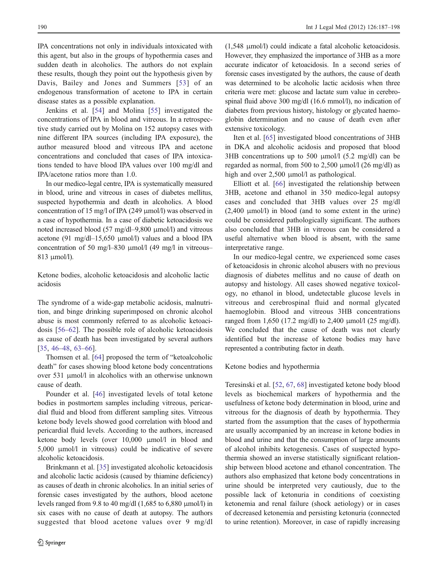IPA concentrations not only in individuals intoxicated with this agent, but also in the groups of hypothermia cases and sudden death in alcoholics. The authors do not explain these results, though they point out the hypothesis given by Davis, Bailey and Jones and Summers [[53\]](#page-10-0) of an endogenous transformation of acetone to IPA in certain disease states as a possible explanation.

Jenkins et al. [[54\]](#page-10-0) and Molina [[55\]](#page-10-0) investigated the concentrations of IPA in blood and vitreous. In a retrospective study carried out by Molina on 152 autopsy cases with nine different IPA sources (including IPA exposure), the author measured blood and vitreous IPA and acetone concentrations and concluded that cases of IPA intoxications tended to have blood IPA values over 100 mg/dl and IPA/acetone ratios more than 1.0.

In our medico-legal centre, IPA is systematically measured in blood, urine and vitreous in cases of diabetes mellitus, suspected hypothermia and death in alcoholics. A blood concentration of 15 mg/l of IPA (249 μmol/l) was observed in a case of hypothermia. In a case of diabetic ketoacidosis we noted increased blood (57 mg/dl–9,800 μmol/l) and vitreous acetone (91 mg/dl–15,650 μmol/l) values and a blood IPA concentration of 50 mg/l–830 μmol/l (49 mg/l in vitreous– 813 μmol/l).

Ketone bodies, alcoholic ketoacidosis and alcoholic lactic acidosis

The syndrome of a wide-gap metabolic acidosis, malnutrition, and binge drinking superimposed on chronic alcohol abuse is most commonly referred to as alcoholic ketoacidosis [[56](#page-10-0)–[62\]](#page-10-0). The possible role of alcoholic ketoacidosis as cause of death has been investigated by several authors [\[35](#page-9-0), [46](#page-9-0)–[48,](#page-10-0) [63](#page-10-0)–[66\]](#page-10-0).

Thomsen et al. [\[64](#page-10-0)] proposed the term of "ketoalcoholic death" for cases showing blood ketone body concentrations over 531 μmol/l in alcoholics with an otherwise unknown cause of death.

Pounder et al. [\[46](#page-9-0)] investigated levels of total ketone bodies in postmortem samples including vitreous, pericardial fluid and blood from different sampling sites. Vitreous ketone body levels showed good correlation with blood and pericardial fluid levels. According to the authors, increased ketone body levels (over 10,000 μmol/l in blood and 5,000 μmol/l in vitreous) could be indicative of severe alcoholic ketoacidosis.

Brinkmann et al. [\[35](#page-9-0)] investigated alcoholic ketoacidosis and alcoholic lactic acidosis (caused by thiamine deficiency) as causes of death in chronic alcoholics. In an initial series of forensic cases investigated by the authors, blood acetone levels ranged from 9.8 to 40 mg/dl (1,685 to 6,880 μmol/l) in six cases with no cause of death at autopsy. The authors suggested that blood acetone values over 9 mg/dl

(1,548 μmol/l) could indicate a fatal alcoholic ketoacidosis. However, they emphasized the importance of 3HB as a more accurate indicator of ketoacidosis. In a second series of forensic cases investigated by the authors, the cause of death was determined to be alcoholic lactic acidosis when three criteria were met: glucose and lactate sum value in cerebrospinal fluid above 300 mg/dl (16.6 mmol/l), no indication of diabetes from previous history, histology or glycated haemoglobin determination and no cause of death even after extensive toxicology.

Iten et al. [\[65](#page-10-0)] investigated blood concentrations of 3HB in DKA and alcoholic acidosis and proposed that blood 3HB concentrations up to 500  $\mu$ mol/l (5.2 mg/dl) can be regarded as normal, from 500 to 2,500 μmol/l (26 mg/dl) as high and over 2,500 μmol/l as pathological.

Elliott et al. [[66\]](#page-10-0) investigated the relationship between 3HB, acetone and ethanol in 350 medico-legal autopsy cases and concluded that 3HB values over 25 mg/dl (2,400 μmol/l) in blood (and to some extent in the urine) could be considered pathologically significant. The authors also concluded that 3HB in vitreous can be considered a useful alternative when blood is absent, with the same interpretative range.

In our medico-legal centre, we experienced some cases of ketoacidosis in chronic alcohol abusers with no previous diagnosis of diabetes mellitus and no cause of death on autopsy and histology. All cases showed negative toxicology, no ethanol in blood, undetectable glucose levels in vitreous and cerebrospinal fluid and normal glycated haemoglobin. Blood and vitreous 3HB concentrations ranged from 1,650 (17.2 mg/dl) to 2,400 μmol/l (25 mg/dl). We concluded that the cause of death was not clearly identified but the increase of ketone bodies may have represented a contributing factor in death.

Ketone bodies and hypothermia

Teresinski et al. [\[52](#page-10-0), [67](#page-10-0), [68](#page-10-0)] investigated ketone body blood levels as biochemical markers of hypothermia and the usefulness of ketone body determination in blood, urine and vitreous for the diagnosis of death by hypothermia. They started from the assumption that the cases of hypothermia are usually accompanied by an increase in ketone bodies in blood and urine and that the consumption of large amounts of alcohol inhibits ketogenesis. Cases of suspected hypothermia showed an inverse statistically significant relationship between blood acetone and ethanol concentration. The authors also emphasized that ketone body concentrations in urine should be interpreted very cautiously, due to the possible lack of ketonuria in conditions of coexisting ketonemia and renal failure (shock aetiology) or in cases of decreased ketonemia and persisting ketonuria (connected to urine retention). Moreover, in case of rapidly increasing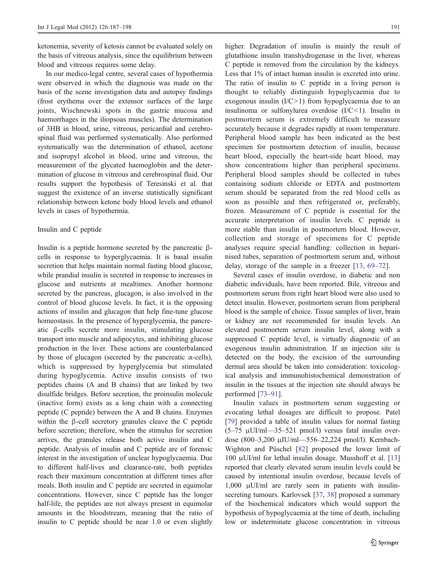ketonemia, severity of ketosis cannot be evaluated solely on the basis of vitreous analysis, since the equilibrium between blood and vitreous requires some delay.

In our medico-legal centre, several cases of hypothermia were observed in which the diagnosis was made on the basis of the scene investigation data and autopsy findings (frost erythema over the extensor surfaces of the large joints, Wischnewski spots in the gastric mucosa and haemorrhages in the iliopsoas muscles). The determination of 3HB in blood, urine, vitreous, pericardial and cerebrospinal fluid was performed systematically. Also performed systematically was the determination of ethanol, acetone and isopropyl alcohol in blood, urine and vitreous, the measurement of the glycated haemoglobin and the determination of glucose in vitreous and cerebrospinal fluid. Our results support the hypothesis of Teresinski et al. that suggest the existence of an inverse statistically significant relationship between ketone body blood levels and ethanol levels in cases of hypothermia.

## Insulin and C peptide

Insulin is a peptide hormone secreted by the pancreatic βcells in response to hyperglycaemia. It is basal insulin secretion that helps maintain normal fasting blood glucose, while prandial insulin is secreted in response to increases in glucose and nutrients at mealtimes. Another hormone secreted by the pancreas, glucagon, is also involved in the control of blood glucose levels. In fact, it is the opposing actions of insulin and glucagon that help fine-tune glucose homeostasis. In the presence of hyperglycemia, the pancreatic β-cells secrete more insulin, stimulating glucose transport into muscle and adipocytes, and inhibiting glucose production in the liver. These actions are counterbalanced by those of glucagon (secreted by the pancreatic  $\alpha$ -cells), which is suppressed by hyperglycemia but stimulated during hypoglycemia. Active insulin consists of two peptides chains (A and B chains) that are linked by two disulfide bridges. Before secretion, the proinsulin molecule (inactive form) exists as a long chain with a connecting peptide (C peptide) between the A and B chains. Enzymes within the β-cell secretory granules cleave the C peptide before secretion; therefore, when the stimulus for secretion arrives, the granules release both active insulin and C peptide. Analysis of insulin and C peptide are of forensic interest in the investigation of unclear hypoglycaemia. Due to different half-lives and clearance-rate, both peptides reach their maximum concentration at different times after meals. Both insulin and C peptide are secreted in equimolar concentrations. However, since C peptide has the longer half-life, the peptides are not always present in equimolar amounts in the bloodstream, meaning that the ratio of insulin to C peptide should be near 1.0 or even slightly

higher. Degradation of insulin is mainly the result of glutathione insulin transhydrogenase in the liver, whereas C peptide is removed from the circulation by the kidneys. Less that 1% of intact human insulin is excreted into urine. The ratio of insulin to C peptide in a living person is thought to reliably distinguish hypoglycaemia due to exogenous insulin (I/C>1) from hypoglycaemia due to an insulinoma or sulfonylurea overdose  $(I/C<1)$ . Insulin in postmortem serum is extremely difficult to measure accurately because it degrades rapidly at room temperature. Peripheral blood sample has been indicated as the best specimen for postmortem detection of insulin, because heart blood, especially the heart-side heart blood, may show concentrations higher than peripheral specimens. Peripheral blood samples should be collected in tubes containing sodium chloride or EDTA and postmortem serum should be separated from the red blood cells as soon as possible and then refrigerated or, preferably, frozen. Measurement of C peptide is essential for the accurate interpretation of insulin levels. C peptide is more stable than insulin in postmortem blood. However, collection and storage of specimens for C peptide analyses require special handling: collection in heparinised tubes, separation of postmortem serum and, without delay, storage of the sample in a freezer [[13,](#page-9-0) [69](#page-10-0)–[72](#page-10-0)].

Several cases of insulin overdose, in diabetic and non diabetic individuals, have been reported. Bile, vitreous and postmortem serum from right heart blood were also used to detect insulin. However, postmortem serum from peripheral blood is the sample of choice. Tissue samples of liver, brain or kidney are not recommended for insulin levels. An elevated postmortem serum insulin level, along with a suppressed C peptide level, is virtually diagnostic of an exogenous insulin administration. If an injection site is detected on the body, the excision of the surrounding dermal area should be taken into consideration: toxicological analysis and immunohistochemical demonstration of insulin in the tissues at the injection site should always be performed [[73](#page-10-0)–[91\]](#page-10-0).

Insulin values in postmortem serum suggesting or evocating lethal dosages are difficult to propose. Patel [\[79](#page-10-0)] provided a table of insulin values for normal fasting  $(5-75 \mu U I/ml - 35-521 \mu I/l)$  versus fatal insulin overdose (800–3,200 μIU/ml—556–22,224 pmol/l). Kernbach-Wighton and Püschel [[82\]](#page-10-0) proposed the lower limit of 100 μUI/ml for lethal insulin dosage. Musshoff et al. [\[13](#page-9-0)] reported that clearly elevated serum insulin levels could be caused by intentional insulin overdose, because levels of 1,000 μUI/ml are rarely seen in patients with insulin-secreting tumours. Karlovsek [\[37](#page-9-0), [38\]](#page-9-0) proposed a summary of the biochemical indicators which would support the hypothesis of hypoglycaemia at the time of death, including low or indeterminate glucose concentration in vitreous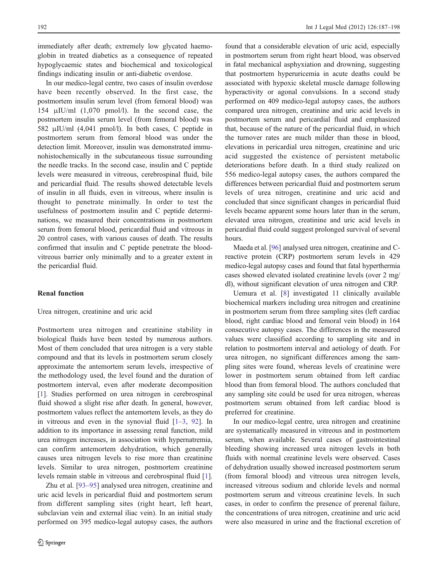immediately after death; extremely low glycated haemoglobin in treated diabetics as a consequence of repeated hypoglycaemic states and biochemical and toxicological findings indicating insulin or anti-diabetic overdose.

In our medico-legal centre, two cases of insulin overdose have been recently observed. In the first case, the postmortem insulin serum level (from femoral blood) was 154 μIU/ml (1,070 pmol/l). In the second case, the postmortem insulin serum level (from femoral blood) was 582 μIU/ml (4,041 pmol/l). In both cases, C peptide in postmortem serum from femoral blood was under the detection limit. Moreover, insulin was demonstrated immunohistochemically in the subcutaneous tissue surrounding the needle tracks. In the second case, insulin and C peptide levels were measured in vitreous, cerebrospinal fluid, bile and pericardial fluid. The results showed detectable levels of insulin in all fluids, even in vitreous, where insulin is thought to penetrate minimally. In order to test the usefulness of postmortem insulin and C peptide determinations, we measured their concentrations in postmortem serum from femoral blood, pericardial fluid and vitreous in 20 control cases, with various causes of death. The results confirmed that insulin and C peptide penetrate the bloodvitreous barrier only minimally and to a greater extent in the pericardial fluid.

## Renal function

#### Urea nitrogen, creatinine and uric acid

Postmortem urea nitrogen and creatinine stability in biological fluids have been tested by numerous authors. Most of them concluded that urea nitrogen is a very stable compound and that its levels in postmortem serum closely approximate the antemortem serum levels, irrespective of the methodology used, the level found and the duration of postmortem interval, even after moderate decomposition [\[1](#page-8-0)]. Studies performed on urea nitrogen in cerebrospinal fluid showed a slight rise after death. In general, however, postmortem values reflect the antemortem levels, as they do in vitreous and even in the synovial fluid [[1](#page-8-0)–[3,](#page-8-0) [92](#page-10-0)]. In addition to its importance in assessing renal function, mild urea nitrogen increases, in association with hypernatremia, can confirm antemortem dehydration, which generally causes urea nitrogen levels to rise more than creatinine levels. Similar to urea nitrogen, postmortem creatinine levels remain stable in vitreous and cerebrospinal fluid [\[1](#page-8-0)].

Zhu et al. [[93](#page-10-0)–[95\]](#page-10-0) analysed urea nitrogen, creatinine and uric acid levels in pericardial fluid and postmortem serum from different sampling sites (right heart, left heart, subclavian vein and external iliac vein). In an initial study performed on 395 medico-legal autopsy cases, the authors

found that a considerable elevation of uric acid, especially in postmortem serum from right heart blood, was observed in fatal mechanical asphyxiation and drowning, suggesting that postmortem hyperuricemia in acute deaths could be associated with hypoxic skeletal muscle damage following hyperactivity or agonal convulsions. In a second study performed on 409 medico-legal autopsy cases, the authors compared urea nitrogen, creatinine and uric acid levels in postmortem serum and pericardial fluid and emphasized that, because of the nature of the pericardial fluid, in which the turnover rates are much milder than those in blood, elevations in pericardial urea nitrogen, creatinine and uric acid suggested the existence of persistent metabolic deteriorations before death. In a third study realized on 556 medico-legal autopsy cases, the authors compared the differences between pericardial fluid and postmortem serum levels of urea nitrogen, creatinine and uric acid and concluded that since significant changes in pericardial fluid levels became apparent some hours later than in the serum, elevated urea nitrogen, creatinine and uric acid levels in pericardial fluid could suggest prolonged survival of several hours.

Maeda et al. [\[96](#page-11-0)] analysed urea nitrogen, creatinine and Creactive protein (CRP) postmortem serum levels in 429 medico-legal autopsy cases and found that fatal hyperthermia cases showed elevated isolated creatinine levels (over 2 mg/ dl), without significant elevation of urea nitrogen and CRP.

Uemura et al. [\[8](#page-9-0)] investigated 11 clinically available biochemical markers including urea nitrogen and creatinine in postmortem serum from three sampling sites (left cardiac blood, right cardiac blood and femoral vein blood) in 164 consecutive autopsy cases. The differences in the measured values were classified according to sampling site and in relation to postmortem interval and aetiology of death. For urea nitrogen, no significant differences among the sampling sites were found, whereas levels of creatinine were lower in postmortem serum obtained from left cardiac blood than from femoral blood. The authors concluded that any sampling site could be used for urea nitrogen, whereas postmortem serum obtained from left cardiac blood is preferred for creatinine.

In our medico-legal centre, urea nitrogen and creatinine are systematically measured in vitreous and in postmortem serum, when available. Several cases of gastrointestinal bleeding showing increased urea nitrogen levels in both fluids with normal creatinine levels were observed. Cases of dehydration usually showed increased postmortem serum (from femoral blood) and vitreous urea nitrogen levels, increased vitreous sodium and chloride levels and normal postmortem serum and vitreous creatinine levels. In such cases, in order to confirm the presence of prerenal failure, the concentrations of urea nitrogen, creatinine and uric acid were also measured in urine and the fractional excretion of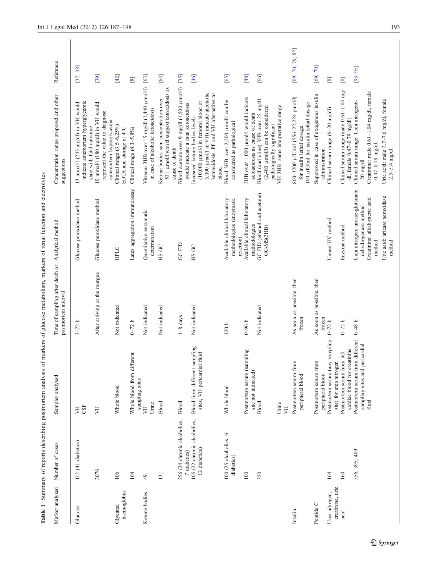<span id="page-6-0"></span>

| Marker analysed                    | Number of cases                              | Samples analysed                                                              | Time of sampling after death or Analytical method<br>postmortem interval |                                                                                                                                                                                              | Concentration range proposed and other<br>suggestions                                                                                                             | Reference        |
|------------------------------------|----------------------------------------------|-------------------------------------------------------------------------------|--------------------------------------------------------------------------|----------------------------------------------------------------------------------------------------------------------------------------------------------------------------------------------|-------------------------------------------------------------------------------------------------------------------------------------------------------------------|------------------|
| Glucose                            | 112 (41 diabetics)                           | CSF<br>F                                                                      | $3 - 72h$                                                                | Glucose peroxidase method                                                                                                                                                                    | indicate antemortem hyperglycemic<br>13 mmol/l (243 mg/dl) in VH would<br>state with fatal outcome                                                                | [37, 38]         |
|                                    | 3076                                         | F                                                                             | After arriving at the morgue                                             | Glucose peroxidase method                                                                                                                                                                    | 10 mmol/l $(180 \text{ mg/dl})$ in VH would<br>represent the value to diagnose<br>antemortem hyperglycemia                                                        | $[39]$           |
| haemoglobin<br>Glycated            | 106                                          | Whole blood                                                                   | Not indicated                                                            | HPLC                                                                                                                                                                                         | Clinical range (3.5-6.25%)<br>EDTA and storage at 4°C                                                                                                             | $[42]$           |
|                                    | 164                                          | Whole blood from different<br>sampling sites                                  | $0-72$ h                                                                 | Latex aggregation immunoassay                                                                                                                                                                | Clinical range $(4.3-5.8\%)$                                                                                                                                      | $\boxed{8}$      |
| Ketone bodies                      | $^{49}$                                      | Urine<br>УH                                                                   | Not indicated                                                            | Quantitative enzymatic<br>determination                                                                                                                                                      | Vitreous 3HB over 15 mg/dl (1,440 µmol/l)<br>in case of alcoholic ketoacidosis                                                                                    | $[63]$           |
|                                    | 131                                          | Blood                                                                         | Not indicated                                                            | HS-GC                                                                                                                                                                                        | 531 µmol/l would suggest ketoacidosis as<br>Ketone bodies sum concentration over<br>cause of death                                                                | [64]             |
|                                    | 256 (24 chronic alcoholics,<br>7 diabetics)  | Blood                                                                         | $1 - 8$ days                                                             | GC-FID                                                                                                                                                                                       | Blood acetone over 9 mg/dl (1,500 µmol/l)<br>would indicate a fatal ketoacidosis                                                                                  | [35]             |
|                                    | 105 (22 chronic alcoholics,<br>12 diabetics) | sampling<br>sites, VH pericardial fluid<br>Blood from different               | Not indicated                                                            | HS-GC                                                                                                                                                                                        | 5,000 µmol/l in VH) indicate alcoholic<br>ketoacidosis. PF and VH alternative to<br>(10,000 µmol/l in femoral blood or<br>Increased ketone bodies levels<br>blood | $[46]$           |
|                                    | 100 (25 alcoholics, 6<br>diabetics)          | Whole blood                                                                   | $120\ \mathrm{h}$                                                        | methodologies (enzymatic<br>Available clinical laboratory<br>reaction)                                                                                                                       | Blood 3HB over 2,500 µmol/l can be<br>considered as pathological                                                                                                  | [65]             |
|                                    | $100\,$                                      | Postmortem serum (sampling<br>site not indicated)                             | $0\text{--}96$ h                                                         | Available clinical laboratory<br>methodologies                                                                                                                                               | 3HB over 1,000 µmol/l would indicate<br>ketoacidosis as cause of death                                                                                            | $[48]$           |
|                                    | 350                                          | Blood                                                                         | Not indicated                                                            | GC-FID (ethanol and acetone)<br>GC-MS(3HB)                                                                                                                                                   | Blood (and urine) 3HB over 25 mg/dl<br>$(2,400 \text{ }\mu\text{mol/l})$ can be considered<br>pathologically significant                                          | [66]             |
|                                    |                                              | Urine<br>F                                                                    |                                                                          |                                                                                                                                                                                              | VH 3HB: same interpretative range                                                                                                                                 |                  |
| Insulin                            |                                              | Postmortem serum from<br>peripheral blood                                     | As soon as possible, then<br>frozen                                      |                                                                                                                                                                                              | 800-3200 µIU/ml (556-22,224 pmol/l)<br>100 µIU/ml for insulin lethal dosage<br>for insulin lethal dosage                                                          | [69, 70, 79, 82] |
| Peptide C                          |                                              | Postmortem serum from<br>peripheral blood                                     | As soon as possible, then<br>frozen                                      |                                                                                                                                                                                              | Suppressed in case of exogenous insulin<br>administration                                                                                                         | [69,70]          |
| creatinine, uric<br>Urea nitrogen, | 164                                          | Postmortem serum (any sampling<br>site) for urea nitrogen                     | $0 - 72 h$                                                               | Urease UV method                                                                                                                                                                             | Clinical serum range $(6-20 \text{ mg/dl})$                                                                                                                       | $\infty$         |
| acid                               | 164                                          | cardiac blood for creatinine<br>Postmortem serum from left                    | $0-72h$                                                                  | Enzyme method                                                                                                                                                                                | Clinical serum range (male $0.61 - 1.04$ mg/<br>dl, female $0.47 - 0.79$ mg/dl)                                                                                   | $\infty$         |
|                                    | 556, 395, 409                                | Postmortem serum from different<br>pericardial<br>sampling sites and<br>fluid | $0 - 48h$                                                                | Urea nitrogen: urease-glutamate<br>Creatinine: alkali-picric acid<br>dehydrogenase method<br>method                                                                                          | Creatinine: male 0.61-1.04 mg/dl, female<br>Clinical serum range: Urea nitrogen6-<br>$0.47 - 0.79$ mg/dl<br>$20~\mathrm{mg/dl}$                                   | $[93 - 95]$      |
|                                    |                                              |                                                                               |                                                                          | Uric acid: uricase peroxidase<br>$% \left( \left( \left[ \left( \left[ c_{i} \left( c_{i} \right) \right) \right] \right) \right) \left( c_{i} \right) \right) =\left( c_{i} \right)$ method | Uric acid: male 3.7-7.6 mg/dl, female<br>$2.5 - 5.4$ mg/dl                                                                                                        |                  |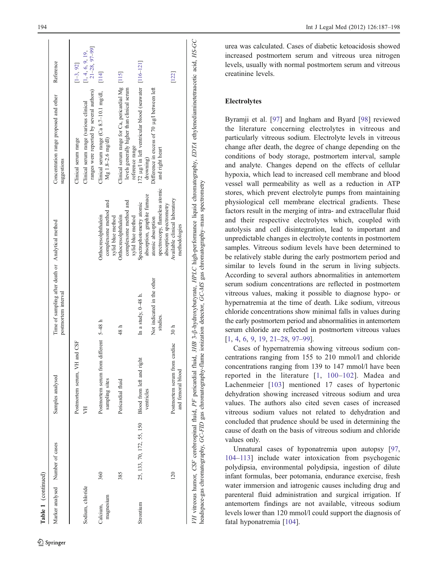|                       | Marker analysed Number of cases | Samples analysed                                         | Time of sampling after death or Analytical method<br>postmortem interval |                                                                                                             | Concentration range proposed and other<br>suggestions                                                                                       | Reference                                             |
|-----------------------|---------------------------------|----------------------------------------------------------|--------------------------------------------------------------------------|-------------------------------------------------------------------------------------------------------------|---------------------------------------------------------------------------------------------------------------------------------------------|-------------------------------------------------------|
| Sodium, chloride      |                                 | VH and CSF<br>Postmortem serum,<br>F                     |                                                                          |                                                                                                             | ranges were reported by several authors)<br>Clinical serum range (various clinical<br>Clinical serum range                                  | $21 - 28, 97 - 99$<br>[1, 4, 6, 9, 19,<br>$[1-3, 92]$ |
| magnesium<br>Calcium, | 360                             | Postmortem serum from different 5-48 h<br>sampling sites |                                                                          | complexome method and<br>Orthocresolphthalein                                                               | Clinical serum range (Ca $8.7-10.1$ mg/dl,<br>$Mg 1.8 - 2.6 mg/dl$                                                                          | [114]                                                 |
|                       | 385                             | Pericardial fluid                                        | 48 h                                                                     | complexome method and<br>Orthocresolphthalein<br>xylid blue method                                          | Clinical serum range for Ca, pericardial $Mg$ [115]<br>levels generally higher than clinical serum                                          |                                                       |
| Strontium             | 25, 133, 70, 172, 55, 150       | Blood from left and right<br>ventricles                  | Not indicated in the other<br>In a study, $0-48$ h.                      | absorption, graphite furnace<br>Spectrophotometry atomic<br>xylid blue method<br>atomic absorption          | 172 µg/l in left ventricular blood (seawater [116-121]<br>Difference in excess of 70 $\mu$ g/l between left<br>reference range<br>drowning) |                                                       |
|                       | 120                             | Postmortem serum from cardiac<br>and femoral blood       | studies<br>30h                                                           | spectroscopy, flameless atomic<br>Available clinical laboratory<br>absorption spectrometry<br>methodologies | and right heart                                                                                                                             | [122]                                                 |

urea was calculated. Cases of diabetic ketoacidosis showed increased postmortem serum and vitreous urea nitrogen levels, usually with normal postmortem serum and vitreous creatinine levels.

## Electrolytes

Byramji et al. [[97\]](#page-11-0) and Ingham and Byard [[98\]](#page-11-0) reviewed the literature concerning electrolytes in vitreous and particularly vitreous sodium. Electrolyte levels in vitreous change after death, the degree of change depending on the conditions of body storage, postmortem interval, sample and analyte. Changes depend on the effects of cellular hypoxia, which lead to increased cell membrane and blood vessel wall permeability as well as a reduction in ATP stores, which prevent electrolyte pumps from maintaining physiological cell membrane electrical gradients. These factors result in the merging of intra- and extracellular fluid and their respective electrolytes which, coupled with autolysis and cell disintegration, lead to important and unpredictable changes in electrolyte contents in postmortem samples. Vitreous sodium levels have been determined to be relatively stable during the early postmortem period and similar to levels found in the serum in living subjects. According to several authors abnormalities in antemortem serum sodium concentrations are reflected in postmortem vitreous values, making it possible to diagnose hypo- or hypernatremia at the time of death. Like sodium, vitreous chloride concentrations show minimal falls in values during the early postmortem period and abnormalities in antemortem serum chloride are reflected in postmortem vitreous values [\[1](#page-8-0), [4,](#page-9-0) [6](#page-9-0), [9,](#page-9-0) [19](#page-9-0), [21](#page-9-0)–[28](#page-9-0), [97](#page-11-0)–[99\]](#page-11-0).

Cases of hypernatremia showing vitreous sodium concentrations ranging from 155 to 210 mmol/l and chloride concentrations ranging from 139 to 147 mmol/l have been reported in the literature [ [1](#page-8-0) , [100](#page-11-0) –[102\]](#page-11-0). Madea and Lachenmeier [\[103\]](#page-11-0) mentioned 17 cases of hypertonic dehydration showing increased vitreous sodium and urea values. The authors also cited seven cases of increased vitreous sodium values not related to dehydration and concluded that prudence should be used in determining the cause of death on the basis of vitreous sodium and chloride values only.

Unnatural cases of hyponatremia upon autopsy [[97](#page-11-0) , [104](#page-11-0) –[113](#page-11-0)] include water intoxication from psychogenic polydipsia, environmental polydipsia, ingestion of dilute infant formulas, beer potomania, endurance exercise, fresh water immersion and iatrogenic causes including drug and parenteral fluid administration and surgical irrigation. If antemortem findings are not available, vitreous sodium levels lower than 120 mmol/l could support the diagnosis of fatal hyponatremia [[104\]](#page-11-0).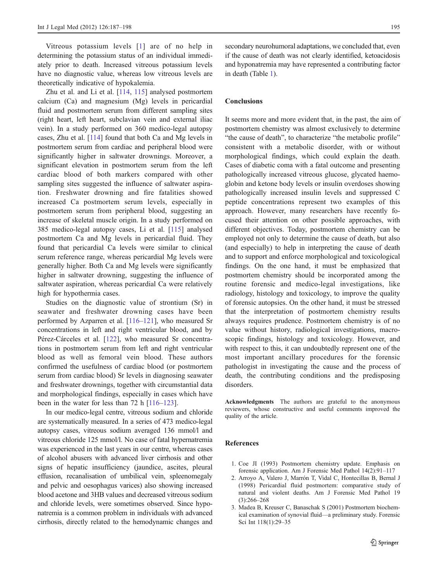<span id="page-8-0"></span>Vitreous potassium levels [1] are of no help in determining the potassium status of an individual immediately prior to death. Increased vitreous potassium levels have no diagnostic value, whereas low vitreous levels are theoretically indicative of hypokalemia.

Zhu et al. and Li et al. [[114,](#page-11-0) [115](#page-11-0)] analysed postmortem calcium (Ca) and magnesium (Mg) levels in pericardial fluid and postmortem serum from different sampling sites (right heart, left heart, subclavian vein and external iliac vein). In a study performed on 360 medico-legal autopsy cases, Zhu et al. [\[114\]](#page-11-0) found that both Ca and Mg levels in postmortem serum from cardiac and peripheral blood were significantly higher in saltwater drownings. Moreover, a significant elevation in postmortem serum from the left cardiac blood of both markers compared with other sampling sites suggested the influence of saltwater aspiration. Freshwater drowning and fire fatalities showed increased Ca postmortem serum levels, especially in postmortem serum from peripheral blood, suggesting an increase of skeletal muscle origin. In a study performed on 385 medico-legal autopsy cases, Li et al. [\[115\]](#page-11-0) analysed postmortem Ca and Mg levels in pericardial fluid. They found that pericardial Ca levels were similar to clinical serum reference range, whereas pericardial Mg levels were generally higher. Both Ca and Mg levels were significantly higher in saltwater drowning, suggesting the influence of saltwater aspiration, whereas pericardial Ca were relatively high for hypothermia cases.

Studies on the diagnostic value of strontium (Sr) in seawater and freshwater drowning cases have been performed by Azparren et al. [\[116](#page-11-0)–[121\]](#page-11-0), who measured Sr concentrations in left and right ventricular blood, and by Pérez-Cárceles et al. [\[122](#page-11-0)], who measured Sr concentrations in postmortem serum from left and right ventricular blood as well as femoral vein blood. These authors confirmed the usefulness of cardiac blood (or postmortem serum from cardiac blood) Sr levels in diagnosing seawater and freshwater drownings, together with circumstantial data and morphological findings, especially in cases which have been in the water for less than 72 h [\[116](#page-11-0)–[123\]](#page-11-0).

In our medico-legal centre, vitreous sodium and chloride are systematically measured. In a series of 473 medico-legal autopsy cases, vitreous sodium averaged 136 mmol/l and vitreous chloride 125 mmol/l. No case of fatal hypernatremia was experienced in the last years in our centre, whereas cases of alcohol abusers with advanced liver cirrhosis and other signs of hepatic insufficiency (jaundice, ascites, pleural effusion, recanalisation of umbilical vein, spleenomegaly and pelvic and oesophagus varices) also showing increased blood acetone and 3HB values and decreased vitreous sodium and chloride levels, were sometimes observed. Since hyponatremia is a common problem in individuals with advanced cirrhosis, directly related to the hemodynamic changes and secondary neurohumoral adaptations, we concluded that, even if the cause of death was not clearly identified, ketoacidosis and hyponatremia may have represented a contributing factor in death (Table [1\)](#page-6-0).

## Conclusions

It seems more and more evident that, in the past, the aim of postmortem chemistry was almost exclusively to determine "the cause of death", to characterize "the metabolic profile" consistent with a metabolic disorder, with or without morphological findings, which could explain the death. Cases of diabetic coma with a fatal outcome and presenting pathologically increased vitreous glucose, glycated haemoglobin and ketone body levels or insulin overdoses showing pathologically increased insulin levels and suppressed C peptide concentrations represent two examples of this approach. However, many researchers have recently focused their attention on other possible approaches, with different objectives. Today, postmortem chemistry can be employed not only to determine the cause of death, but also (and especially) to help in interpreting the cause of death and to support and enforce morphological and toxicological findings. On the one hand, it must be emphasized that postmortem chemistry should be incorporated among the routine forensic and medico-legal investigations, like radiology, histology and toxicology, to improve the quality of forensic autopsies. On the other hand, it must be stressed that the interpretation of postmortem chemistry results always requires prudence. Postmortem chemistry is of no value without history, radiological investigations, macroscopic findings, histology and toxicology. However, and with respect to this, it can undoubtedly represent one of the most important ancillary procedures for the forensic pathologist in investigating the cause and the process of death, the contributing conditions and the predisposing disorders.

Acknowledgments The authors are grateful to the anonymous reviewers, whose constructive and useful comments improved the quality of the article.

#### References

- 1. Coe JI (1993) Postmortem chemistry update. Emphasis on forensic application. Am J Forensic Med Pathol 14(2):91–117
- 2. Arroyo A, Valero J, Marrón T, Vidal C, Hontecillas B, Bernal J (1998) Pericardial fluid postmortem: comparative study of natural and violent deaths. Am J Forensic Med Pathol 19  $(3):266 - 268$
- 3. Madea B, Kreuser C, Banaschak S (2001) Postmortem biochemical examination of synovial fluid—a preliminary study. Forensic Sci Int 118(1):29–35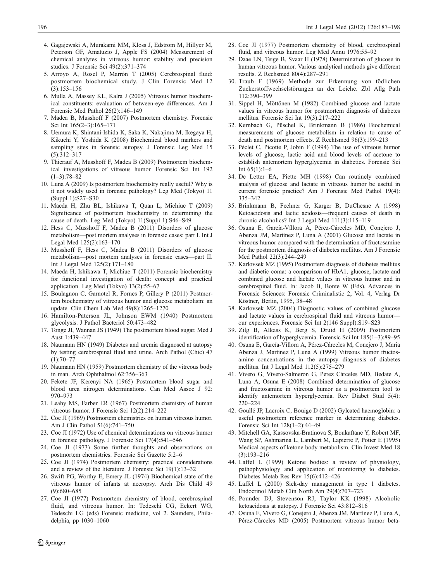- <span id="page-9-0"></span>4. Gagajewski A, Murakami MM, Kloss J, Edstrom M, Hillyer M, Peterson GF, Amatuzio J, Apple FS (2004) Measurement of chemical analytes in vitreous humor: stability and precision studies. J Forensic Sci 49(2):371–374
- 5. Arroyo A, Rosel P, Marrón T (2005) Cerebrospinal fluid: postmortem biochemical study. J Clin Forensic Med 12 (3):153–156
- 6. Mulla A, Massey KL, Kalra J (2005) Vitreous humor biochemical constituents: evaluation of between-eye differences. Am J Forensic Med Pathol 26(2):146–149
- 7. Madea B, Musshoff F (2007) Postmortem chemistry. Forensic Sci Int 165(2–3):165–171
- 8. Uemura K, Shintani-Ishida K, Saka K, Nakajima M, Ikegaya H, Kikuchi Y, Yoshida K (2008) Biochemical blood markers and sampling sites in forensic autopsy. J Forensic Leg Med 15  $(5):312-317$
- 9. Thierauf A, Musshoff F, Madea B (2009) Postmortem biochemical investigations of vitreous humor. Forensic Sci Int 192  $(1-3):78-82$
- 10. Luna A (2009) Is postmortem biochemistry really useful? Why is it not widely used in forensic pathology? Leg Med (Tokyo) 11 (Suppl 1):S27–S30
- 11. Maeda H, Zhu BL, Ishikawa T, Quan L, Michiue T (2009) Significance of postmortem biochemistry in determining the cause of death. Leg Med (Tokyo) 11(Suppl 1):S46–S49
- 12. Hess C, Musshoff F, Madea B (2011) Disorders of glucose metabolism—post mortem analyses in forensic cases: part I. Int J Legal Med 125(2):163–170
- 13. Musshoff F, Hess C, Madea B (2011) Disorders of glucose metabolism—post mortem analyses in forensic cases—part II. Int J Legal Med 125(2):171–180
- 14. Maeda H, Ishikawa T, Michiue T (2011) Forensic biochemistry for functional investigation of death: concept and practical application. Leg Med (Tokyo) 13(2):55–67
- 15. Boulagnon C, Garnotel R, Fornes P, Gillery P (2011) Postmortem biochemistry of vitreous humor and glucose metabolism: an update. Clin Chem Lab Med 49(8):1265–1270
- 16. Hamilton-Paterson JL, Johnson EWM (1940) Postmortem glycolysis. J Pathol Bacteriol 50:473–482
- 17. Tonge JI, Wannan JS (1949) The postmortem blood sugar. Med J Aust 1:439–447
- 18. Naumann HN (1949) Diabetes and uremia diagnosed at autopsy by testing cerebrospinal fluid and urine. Arch Pathol (Chic) 47  $(1):70-77$
- 19. Naumann HN (1959) Postmortem chemistry of the vitreous body in man. Arch Ophthalmol 62:356–363
- 20. Fekete JF, Kerenyi NA (1965) Postmortem blood sugar and blood urea nitrogen determinations. Can Med Assoc J 92: 970–973
- 21. Leahy MS, Farber ER (1967) Postmortem chemistry of human vitreous humor. J Forensic Sci 12(2):214–222
- 22. Coe JI (1969) Postmortem chemistries on human vitreous humor. Am J Clin Pathol 51(6):741–750
- 23. Coe JI (1972) Use of chemical determinations on vitreous humor in forensic pathology. J Forensic Sci 17(4):541–546
- 24. Coe JI (1973) Some further thoughts and observations on postmortem chemistries. Forensic Sci Gazette 5:2–6
- 25. Coe JI (1974) Postmortem chemistry: practical considerations and a review of the literature. J Forensic Sci 19(1):13–32
- 26. Swift PG, Worthy E, Emery JL (1974) Biochemical state of the vitreous humor of infants at necropsy. Arch Dis Child 49 (9):680–685
- 27. Coe JI (1977) Postmortem chemistry of blood, cerebrospinal fluid, and vitreous humor. In: Tedeschi CG, Eckert WG, Tedeschi LG (eds) Forensic medicine, vol 2. Saunders, Philadelphia, pp 1030–1060
- 28. Coe JI (1977) Postmortem chemistry of blood, cerebrospinal fluid, and vitreous humor. Leg Med Annu 1976:55–92
- 29. Daae LN, Teige B, Svaar H (1978) Determination of glucose in human vitreous humor. Various analytical methods give different results. Z Rechsmed 80(4):287–291
- 30. Traub F (1969) Methode zur Erkennung von tödlichen Zuckerstoffwechselstörungen an der Leiche. Zbl Allg Path 112:390–399
- 31. Sippel H, Möttönen M (1982) Combined glucose and lactate values in vitreous humor for postmortem diagnosis of diabetes mellitus. Forensic Sci Int 19(3):217–222
- 32. Kernbach G, Püschel K, Brinkmann B (1986) Biochemical measurements of glucose metabolism in relation to cause of death and postmortem effects. Z Rechtsmed 96(3):199–213
- 33. Péclet C, Picotte P, Jobin F (1994) The use of vitreous humor levels of glucose, lactic acid and blood levels of acetone to establish antemortem hyperglycemia in diabetics. Forensic Sci Int  $65(1):1-6$
- 34. De Letter EA, Piette MH (1998) Can routinely combined analysis of glucose and lactate in vitreous humor be useful in current forensic practice? Am J Forensic Med Pathol 19(4): 335–342
- 35. Brinkmann B, Fechner G, Karger B, DuChesne A (1998) Ketoacidosis and lactic acidosis—frequent causes of death in chronic alcoholics? Int J Legal Med 111(3):115–119
- 36. Osuna E, García-Víllora A, Pérez-Cárceles MD, Conejero J, Abenza JM, Martínez P, Luna A (2001) Glucose and lactate in vitreous humor compared with the determination of fructosamine for the postmortem diagnosis of diabetes mellitus. Am J Forensic Med Pathol 22(3):244–249
- 37. Karlovsek MZ (1995) Postmortem diagnosis of diabetes mellitus and diabetic coma: a comparison of HbA1, glucose, lactate and combined glucose and lactate values in vitreous humor and in cerebrospinal fluid. In: Jacob B, Bonte W (Eds), Advances in Forensic Sciences: Forensic Criminalistic 2, Vol. 4, Verlag Dr Köstner, Berlin, 1995, 38–48
- 38. Karlovsek MZ (2004) Diagnostic values of combined glucose and lactate values in cerebrospinal fluid and vitreous humor our experiences. Forensic Sci Int 2(146 Suppl):S19–S23
- 39. Zilg B, Alkass K, Berg S, Druid H (2009) Postmortem identification of hyperglycemia. Forensic Sci Int 185(1–3):89–95
- 40. Osuna E, García-Víllora A, Pérez-Cárceles M, Conejero J, Maria Abenza J, Martínez P, Luna A (1999) Vitreous humor fructosamine concentrations in the autopsy diagnosis of diabetes mellitus. Int J Legal Med 112(5):275–279
- 41. Vivero G, Vivero-Salmerón G, Pérez Cárceles MD, Bedate A, Luna A, Osuna E (2008) Combined determination of glucose and fructosamine in vitreous humor as a postmortem tool to identify antemortem hyperglycemia. Rev Diabet Stud 5(4): 220–224
- 42. Goullé JP, Lacroix C, Bouige D (2002) Gylcated haemoglobin: a useful postmortem reference marker in determining diabetes. Forensic Sci Int 128(1–2):44–49
- 43. Mitchell GA, Kassovska-Bratinova S, Boukaftane Y, Robert MF, Wang SP, Ashmarina L, Lambert M, Lapierre P, Potier E (1995) Medical aspects of ketone body metabolism. Clin Invest Med 18 (3):193–216
- 44. Laffel L (1999) Ketone bodies: a review of physiology, pathophysiology and application of monitoring to diabetes. Diabetes Metab Res Rev 15(6):412–426
- 45. Laffel L (2000) Sick-day management in type 1 diabetes. Endocrinol Metab Clin North Am 29(4):707–723
- 46. Pounder DJ, Stevenson RJ, Taylor KK (1998) Alcoholic ketoacidosis at autopsy. J Forensic Sci 43:812–816
- 47. Osuna E, Vivero G, Conejero J, Abenza JM, Martínez P, Luna A, Pérez-Cárceles MD (2005) Postmortem vitreous humor beta-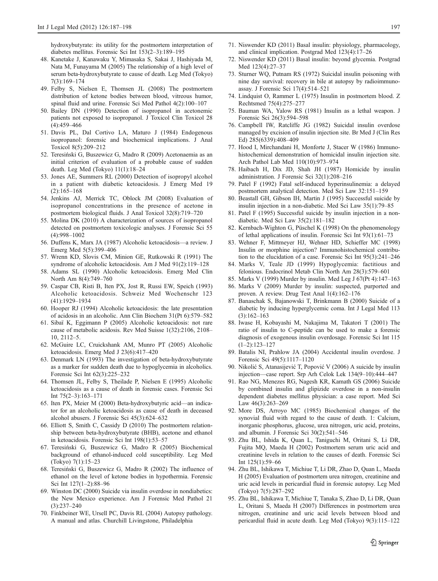<span id="page-10-0"></span>hydroxybutyrate: its utility for the postmortem interpretation of diabetes mellitus. Forensic Sci Int 153(2–3):189–195

- 48. Kanetake J, Kanawaku Y, Mimasaka S, Sakai J, Hashiyada M, Nata M, Funayama M (2005) The relationship of a high level of serum beta-hydroxybutyrate to cause of death. Leg Med (Tokyo) 7(3):169–174
- 49. Felby S, Nielsen E, Thomsen JL (2008) The postmortem distribution of ketone bodies between blood, vitreous humor, spinal fluid and urine. Forensic Sci Med Pathol 4(2):100–107
- 50. Bailey DN (1990) Detection of isopropanol in acetonemic patients not exposed to isopropanol. J Toxicol Clin Toxicol 28 (4):459–466
- 51. Davis PL, Dal Cortivo LA, Maturo J (1984) Endogenous isopropanol: forensic and biochemical implications. J Anal Toxicol 8(5):209–212
- 52. Teresiński G, Buszewicz G, Madro R (2009) Acetonaemia as an initial criterion of evaluation of a probable cause of sudden death. Leg Med (Tokyo) 11(1):18–24
- 53. Jones AE, Summers RL (2000) Detection of isopropyl alcohol in a patient with diabetic ketoacidosis. J Emerg Med 19 (2):165–168
- 54. Jenkins AJ, Merrick TC, Oblock JM (2008) Evaluation of isopropanol concentrations in the presence of acetone in postmortem biological fluids. J Anal Toxicol 32(8):719–720
- 55. Molina DK (2010) A characterization of sources of isopropanol detected on postmortem toxicologic analyses. J Forensic Sci 55 (4):998–1002
- 56. Duffens K, Marx JA (1987) Alcoholic ketoacidosis—a review. J Emerg Med 5(5):399–406
- 57. Wrenn KD, Slovis CM, Minion GE, Rutkowski R (1991) The syndrome of alcoholic ketoacidosis. Am J Med 91(2):119–128
- 58. Adams SL (1990) Alcoholic ketoacidosis. Emerg Med Clin North Am 8(4):749–760
- 59. Caspar CB, Risti B, Iten PX, Jost R, Russi EW, Speich (1993) Alcoholic ketoacidosis. Schweiz Med Wochenschr 123 (41):1929–1934
- 60. Hooper RJ (1994) Alcoholic ketoacidosis: the late presentation of acidosis in an alcoholic. Ann Clin Biochem 31(Pt 6):579–582
- 61. Sibaï K, Eggimann P (2005) Alcoholic ketoacidosis: not rare cause of metabolic acidosis. Rev Med Suisse 1(32):2106, 2108– 10, 2112–5.
- 62. McGuire LC, Cruickshank AM, Munro PT (2005) Alcoholic ketoacidosis. Emerg Med J 23(6):417–420
- 63. Denmark LN (1993) The investigation of beta-hydroxybutyrate as a marker for sudden death due to hypoglycemia in alcoholics. Forensic Sci Int 62(3):225–232
- 64. Thomsen JL, Felby S, Theilade P, Nielsen E (1995) Alcoholic ketoacidosis as a cause of death in forensic cases. Forensic Sci Int 75(2–3):163–171
- 65. Iten PX, Meier M (2000) Beta-hydroxybutyric acid—an indicator for an alcoholic ketoacidosis as cause of death in deceased alcohol abusers. J Forensic Sci 45(3):624–632
- 66. Elliott S, Smith C, Cassidy D (2010) The postmortem relationship between beta-hydroxybutyrate (BHB), acetone and ethanol in ketoacidosis. Forensic Sci Int 198(1):53–57
- 67. Teresiński G, Buszewicz G, Madro R (2005) Biochemical background of ethanol-induced cold susceptibility. Leg Med (Tokyo) 7(1):15–23
- 68. Teresiński G, Buszewicz G, Madro R (2002) The influence of ethanol on the level of ketone bodies in hypothermia. Forensic Sci Int 127(1–2):88–96
- 69. Winston DC (2000) Suicide via insulin overdose in nondiabetics: the New Mexico experience. Am J Forensic Med Pathol 21 (3):237–240
- 70. Finkbeiner WE, Ursell PC, Davis RL (2004) Autopsy pathology. A manual and atlas. Churchill Livingstone, Philadelphia
- 71. Niswender KD (2011) Basal insulin: physiology, pharmacology, and clinical implication. Postgrad Med 123(4):17–26
- 72. Niswender KD (2011) Basal insulin: beyond glycemia. Postgrad Med 123(4):27–37
- 73. Sturner WQ, Putnam RS (1972) Suicidal insulin poisoning with nine day survival: recovery in bile at autopsy by radioimmunoassay. J Forensic Sci 17(4):514–521
- 74. Lindquist O, Rammer L (1975) Insulin in postmortem blood. Z Rechtsmed 75(4):275–277
- 75. Bauman WA, Yalow RS (1981) Insulin as a lethal weapon. J Forensic Sci 26(3):594–598
- 76. Campbell IW, Ratcliffe JG (1982) Suicidal insulin overdose managed by excision of insulin injection site. Br Med J (Clin Res Ed) 285(6339):408–409
- 77. Hood I, Mirchandani H, Monforte J, Stacer W (1986) Immunohistochemical demonstration of homicidal insulin injection site. Arch Pathol Lab Med 110(10):973–974
- 78. Haibach H, Dix JD, Shah JH (1987) Homicide by insulin administration. J Forensic Sci 32(1):208–216
- 79. Patel F (1992) Fatal self-induced hyperinsulinemia: a delayed postmortem analytical detection. Med Sci Law 32:151–159
- 80. Beastall GH, Gibson IH, Martin J (1995) Successful suicide by insulin injection in a non-diabetic. Med Sci Law 35(1):79–85
- 81. Patel F (1995) Successful suicide by insulin injection in a nondiabetic. Med Sci Law 35(2):181–182
- 82. Kernbach-Wighton G, Püschel K (1998) On the phenomenology of lethal applications of insulin. Forensic Sci Int 93(1):61–73
- 83. Wehner F, Mittmeyer HJ, Wehner HD, Schieffer MC (1998) Insulin or morphine injection? Immunohistochemical contribution to the elucidation of a case. Forensic Sci Int 95(3):241–246
- 84. Marks V, Teale JD (1999) Hypoglycemia: factitious and felonious. Endocrinol Metab Clin North Am 28(3):579–601
- 85. Marks V (1999) Murder by insulin. Med Leg J 67(Pt 4):147–163
- 86. Marks V (2009) Murder by insulin: suspected, purported and proven. A review. Drug Test Anal 1(4):162–176
- 87. Banaschak S, Bajanowski T, Brinkmann B (2000) Suicide of a diabetic by inducing hyperglycemic coma. Int J Legal Med 113 (3):162–163
- 88. Iwase H, Kobayashi M, Nakajima M, Takatori T (2001) The ratio of insulin to C-peptide can be used to make a forensic diagnosis of exogenous insulin overdosage. Forensic Sci Int 115  $(1-2):123-127$
- 89. Batalis NI, Prahlow JA (2004) Accidental insulin overdose. J Forensic Sci 49(5):1117–1120
- 90. Nikolić S, Atanasijević T, Popović V (2006) A suicide by insulin injection—case report. Srp Arh Celok Lek 134(9–10):444–447
- 91. Rao NG, Menezes RG, Nagesh KR, Kamath GS (2006) Suicide by combined insulin and glipizide overdose in a non-insulin dependent diabetes mellitus physician: a case report. Med Sci Law 46(3):263–269
- 92. More DS, Arroyo MC (1985) Biochemical changes of the synovial fluid with regard to the cause of death. 1: Calcium, inorganic phosphorus, glucose, urea nitrogen, uric acid, proteins, and albumin. J Forensic Sci 30(2):541–546
- 93. Zhu BL, Ishida K, Quan L, Taniguchi M, Oritani S, Li DR, Fujita MQ, Maeda H (2002) Postmortem serum uric acid and creatinine levels in relation to the causes of death. Forensic Sci Int 125(1):59–66
- 94. Zhu BL, Ishikawa T, Michiue T, Li DR, Zhao D, Quan L, Maeda H (2005) Evaluation of postmortem urea nitrogen, creatinine and uric acid levels in pericardial fluid in forensic autopsy. Leg Med (Tokyo) 7(5):287–292
- 95. Zhu BL, Ishikawa T, Michiue T, Tanaka S, Zhao D, Li DR, Quan L, Oritani S, Maeda H (2007) Differences in postmortem urea nitrogen, creatinine and uric acid levels between blood and pericardial fluid in acute death. Leg Med (Tokyo) 9(3):115–122